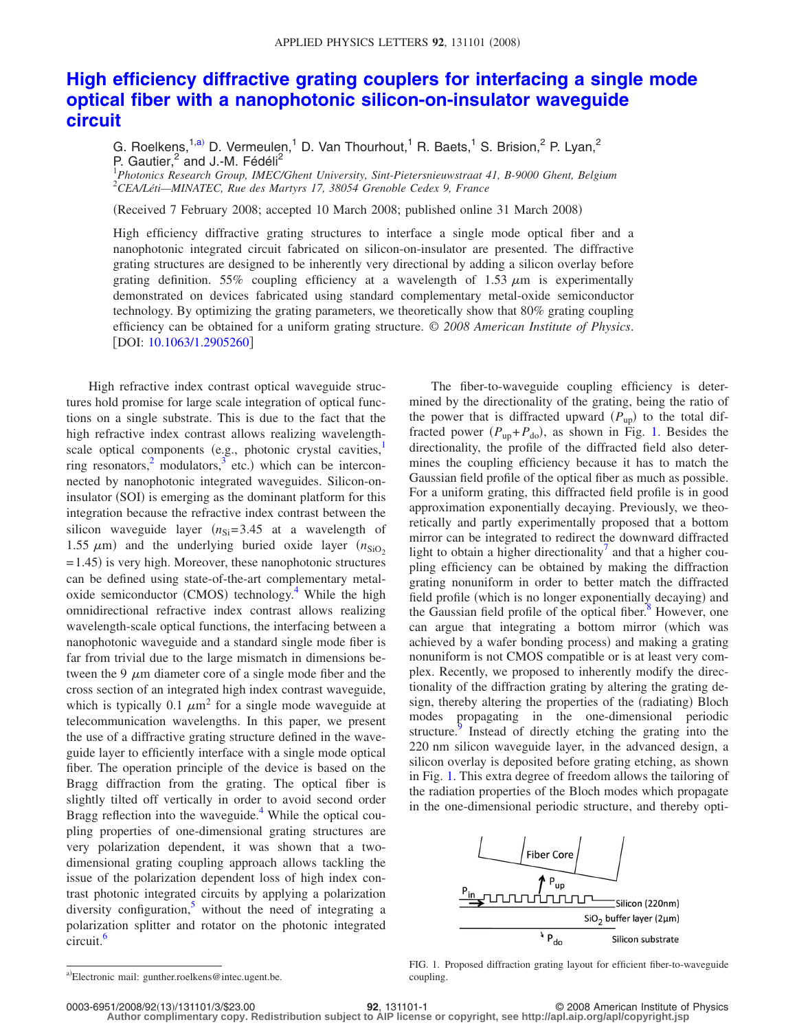## **[High efficiency diffractive grating couplers for interfacing a single mode](http://dx.doi.org/10.1063/1.2905260) [optical fiber with a nanophotonic silicon-on-insulator waveguide](http://dx.doi.org/10.1063/1.2905260) [circuit](http://dx.doi.org/10.1063/1.2905260)**

G. Roelkens,<sup>1[,a](#page-0-0))</sup> D. Vermeulen,<sup>1</sup> D. Van Thourhout,<sup>1</sup> R. Baets,<sup>1</sup> S. Brision,<sup>2</sup> P. Lyan,<sup>2</sup> P. Gautier, $^2$  and J.-M. Fédéli<sup>2</sup>

1 *Photonics Research Group, IMEC/Ghent University, Sint-Pietersnieuwstraat 41, B-9000 Ghent, Belgium* 2 *CEA/Léti—MINATEC, Rue des Martyrs 17, 38054 Grenoble Cedex 9, France*

(Received 7 February 2008; accepted 10 March 2008; published online 31 March 2008)

High efficiency diffractive grating structures to interface a single mode optical fiber and a nanophotonic integrated circuit fabricated on silicon-on-insulator are presented. The diffractive grating structures are designed to be inherently very directional by adding a silicon overlay before grating definition. 55% coupling efficiency at a wavelength of 1.53  $\mu$ m is experimentally demonstrated on devices fabricated using standard complementary metal-oxide semiconductor technology. By optimizing the grating parameters, we theoretically show that 80% grating coupling efficiency can be obtained for a uniform grating structure. © *2008 American Institute of Physics*. [DOI: [10.1063/1.2905260](http://dx.doi.org/10.1063/1.2905260)]

High refractive index contrast optical waveguide structures hold promise for large scale integration of optical functions on a single substrate. This is due to the fact that the high refractive index contrast allows realizing wavelengthscale optical components (e.g., photonic crystal cavities,<sup>1</sup> ring resonators,  $\frac{1}{2}$  modulators,  $\frac{3}{2}$  etc.) which can be interconnected by nanophotonic integrated waveguides. Silicon-oninsulator (SOI) is emerging as the dominant platform for this integration because the refractive index contrast between the silicon waveguide layer  $(n_{Si}= 3.45$  at a wavelength of 1.55  $\mu$ m) and the underlying buried oxide layer  $(n_{SiO_2})$ = 1.45) is very high. Moreover, these nanophotonic structures can be defined using state-of-the-art complementary metaloxide semiconductor (CMOS) technology.<sup>4</sup> While the high omnidirectional refractive index contrast allows realizing wavelength-scale optical functions, the interfacing between a nanophotonic waveguide and a standard single mode fiber is far from trivial due to the large mismatch in dimensions between the 9  $\mu$ m diameter core of a single mode fiber and the cross section of an integrated high index contrast waveguide, which is typically 0.1  $\mu$ m<sup>2</sup> for a single mode waveguide at telecommunication wavelengths. In this paper, we present the use of a diffractive grating structure defined in the waveguide layer to efficiently interface with a single mode optical fiber. The operation principle of the device is based on the Bragg diffraction from the grating. The optical fiber is slightly tilted off vertically in order to avoid second order Bragg reflection into the waveguide.<sup>4</sup> While the optical coupling properties of one-dimensional grating structures are very polarization dependent, it was shown that a twodimensional grating coupling approach allows tackling the issue of the polarization dependent loss of high index contrast photonic integrated circuits by applying a polarization diversity configuration, $\frac{5}{1}$  without the need of integrating a polarization splitter and rotator on the photonic integrated circuit.<sup>6</sup>

The fiber-to-waveguide coupling efficiency is determined by the directionality of the grating, being the ratio of the power that is diffracted upward  $(P_{up})$  to the total diffracted power  $(P_{up} + P_{do})$ , as shown in Fig. [1.](#page-0-1) Besides the directionality, the profile of the diffracted field also determines the coupling efficiency because it has to match the Gaussian field profile of the optical fiber as much as possible. For a uniform grating, this diffracted field profile is in good approximation exponentially decaying. Previously, we theoretically and partly experimentally proposed that a bottom mirror can be integrated to redirect the downward diffracted light to obtain a higher directionality $\ell$  and that a higher coupling efficiency can be obtained by making the diffraction grating nonuniform in order to better match the diffracted field profile (which is no longer exponentially decaying) and the Gaussian field profile of the optical fiber. $\delta$  However, one can argue that integrating a bottom mirror (which was achieved by a wafer bonding process) and making a grating nonuniform is not CMOS compatible or is at least very complex. Recently, we proposed to inherently modify the directionality of the diffraction grating by altering the grating design, thereby altering the properties of the (radiating) Bloch modes propagating in the one-dimensional periodic structure.<sup>9</sup> Instead of directly etching the grating into the 220 nm silicon waveguide layer, in the advanced design, a silicon overlay is deposited before grating etching, as shown in Fig. [1.](#page-0-1) This extra degree of freedom allows the tailoring of the radiation properties of the Bloch modes which propagate in the one-dimensional periodic structure, and thereby opti-

<span id="page-0-1"></span>

0003-6951/2008/92(13)/131101/3/\$23.00

**Author complimentary copy. Redistribution subject to AIP license or copyright, see http://apl.aip.org/apl/copyright.jsp**

<span id="page-0-0"></span>a)Electronic mail: gunther.roelkens@intec.ugent.be.

FIG. 1. Proposed diffraction grating layout for efficient fiber-to-waveguide coupling.

<sup>131101-1</sup> **92**, 131101-1 **823.000 © 2008 American Institute of Physics**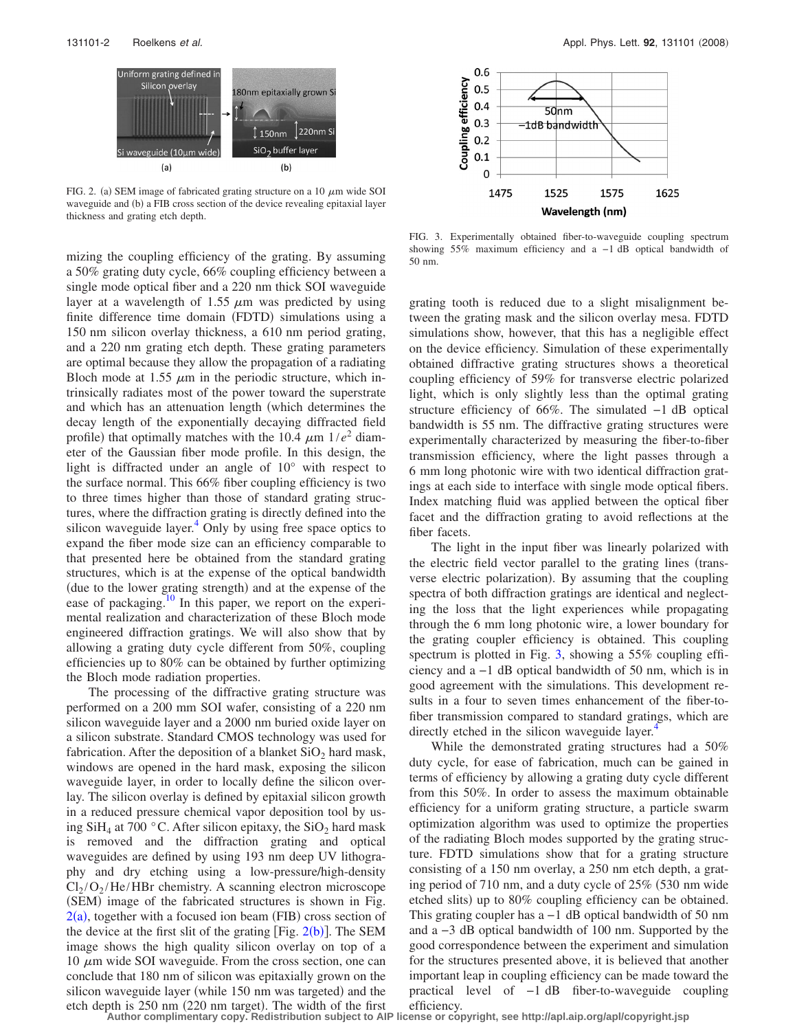<span id="page-1-0"></span>

FIG. 2. (a) SEM image of fabricated grating structure on a 10  $\mu$ m wide SOI waveguide and (b) a FIB cross section of the device revealing epitaxial layer thickness and grating etch depth.

mizing the coupling efficiency of the grating. By assuming a 50% grating duty cycle, 66% coupling efficiency between a single mode optical fiber and a 220 nm thick SOI waveguide layer at a wavelength of 1.55  $\mu$ m was predicted by using finite difference time domain (FDTD) simulations using a 150 nm silicon overlay thickness, a 610 nm period grating, and a 220 nm grating etch depth. These grating parameters are optimal because they allow the propagation of a radiating Bloch mode at 1.55  $\mu$ m in the periodic structure, which intrinsically radiates most of the power toward the superstrate and which has an attenuation length (which determines the decay length of the exponentially decaying diffracted field profile) that optimally matches with the 10.4  $\mu$ m 1/*e*<sup>2</sup> diameter of the Gaussian fiber mode profile. In this design, the light is diffracted under an angle of 10° with respect to the surface normal. This 66% fiber coupling efficiency is two to three times higher than those of standard grating structures, where the diffraction grating is directly defined into the silicon waveguide layer. $4$  Only by using free space optics to expand the fiber mode size can an efficiency comparable to that presented here be obtained from the standard grating structures, which is at the expense of the optical bandwidth (due to the lower grating strength) and at the expense of the ease of packaging.<sup>10</sup> In this paper, we report on the experimental realization and characterization of these Bloch mode engineered diffraction gratings. We will also show that by allowing a grating duty cycle different from 50%, coupling efficiencies up to 80% can be obtained by further optimizing the Bloch mode radiation properties.

The processing of the diffractive grating structure was performed on a 200 mm SOI wafer, consisting of a 220 nm silicon waveguide layer and a 2000 nm buried oxide layer on a silicon substrate. Standard CMOS technology was used for fabrication. After the deposition of a blanket  $SiO<sub>2</sub>$  hard mask, windows are opened in the hard mask, exposing the silicon waveguide layer, in order to locally define the silicon overlay. The silicon overlay is defined by epitaxial silicon growth in a reduced pressure chemical vapor deposition tool by using  $SiH_4$  at 700 °C. After silicon epitaxy, the  $SiO_2$  hard mask is removed and the diffraction grating and optical waveguides are defined by using 193 nm deep UV lithography and dry etching using a low-pressure/high-density  $Cl_2/O_2/He/HBr$  chemistry. A scanning electron microscope (SEM) image of the fabricated structures is shown in Fig.  $2(a)$  $2(a)$ , together with a focused ion beam (FIB) cross section of the device at the first slit of the grating [Fig.  $2(b)$  $2(b)$ ]. The SEM image shows the high quality silicon overlay on top of a  $10 \mu m$  wide SOI waveguide. From the cross section, one can conclude that 180 nm of silicon was epitaxially grown on the silicon waveguide layer (while 150 nm was targeted) and the etch depth is 250 nm (220 nm target). The width of the first

<span id="page-1-1"></span>

FIG. 3. Experimentally obtained fiber-to-waveguide coupling spectrum showing 55% maximum efficiency and a −1 dB optical bandwidth of 50 nm.

grating tooth is reduced due to a slight misalignment between the grating mask and the silicon overlay mesa. FDTD simulations show, however, that this has a negligible effect on the device efficiency. Simulation of these experimentally obtained diffractive grating structures shows a theoretical coupling efficiency of 59% for transverse electric polarized light, which is only slightly less than the optimal grating structure efficiency of 66%. The simulated −1 dB optical bandwidth is 55 nm. The diffractive grating structures were experimentally characterized by measuring the fiber-to-fiber transmission efficiency, where the light passes through a 6 mm long photonic wire with two identical diffraction gratings at each side to interface with single mode optical fibers. Index matching fluid was applied between the optical fiber facet and the diffraction grating to avoid reflections at the fiber facets.

The light in the input fiber was linearly polarized with the electric field vector parallel to the grating lines (transverse electric polarization). By assuming that the coupling spectra of both diffraction gratings are identical and neglecting the loss that the light experiences while propagating through the 6 mm long photonic wire, a lower boundary for the grating coupler efficiency is obtained. This coupling spectrum is plotted in Fig. [3,](#page-1-1) showing a 55% coupling efficiency and a −1 dB optical bandwidth of 50 nm, which is in good agreement with the simulations. This development results in a four to seven times enhancement of the fiber-tofiber transmission compared to standard gratings, which are directly etched in the silicon waveguide layer.<sup>4</sup>

While the demonstrated grating structures had a 50% duty cycle, for ease of fabrication, much can be gained in terms of efficiency by allowing a grating duty cycle different from this 50%. In order to assess the maximum obtainable efficiency for a uniform grating structure, a particle swarm optimization algorithm was used to optimize the properties of the radiating Bloch modes supported by the grating structure. FDTD simulations show that for a grating structure consisting of a 150 nm overlay, a 250 nm etch depth, a grating period of 710 nm, and a duty cycle of  $25\%$  (530 nm wide etched slits) up to 80% coupling efficiency can be obtained. This grating coupler has a −1 dB optical bandwidth of 50 nm and a −3 dB optical bandwidth of 100 nm. Supported by the good correspondence between the experiment and simulation for the structures presented above, it is believed that another important leap in coupling efficiency can be made toward the practical level of −1 dB fiber-to-waveguide coupling efficiency.

**Author complimentary copy. Redistribution subject to AIP license or copyright, see http://apl.aip.org/apl/copyright.jsp**